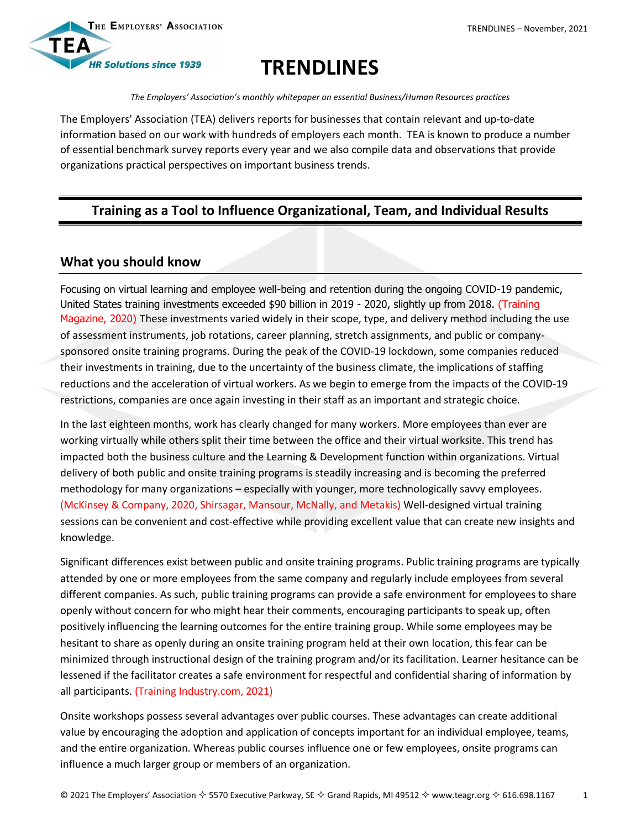

# **TRENDLINES**

*The Employers' Association's monthly whitepaper on essential Business/Human Resources practices*

The Employers' Association (TEA) delivers reports for businesses that contain relevant and up-to-date information based on our work with hundreds of employers each month. TEA is known to produce a number of essential benchmark survey reports every year and we also compile data and observations that provide organizations practical perspectives on important business trends.

# **Training as a Tool to Influence Organizational, Team, and Individual Results**

## **What you should know**

Focusing on virtual learning and employee well-being and retention during the ongoing COVID-19 pandemic, United States training investments exceeded \$90 billion in 2019 - 2020, slightly up from 2018. (Training Magazine, 2020) These investments varied widely in their scope, type, and delivery method including the use of assessment instruments, job rotations, career planning, stretch assignments, and public or companysponsored onsite training programs. During the peak of the COVID-19 lockdown, some companies reduced their investments in training, due to the uncertainty of the business climate, the implications of staffing reductions and the acceleration of virtual workers. As we begin to emerge from the impacts of the COVID-19 restrictions, companies are once again investing in their staff as an important and strategic choice.

In the last eighteen months, work has clearly changed for many workers. More employees than ever are working virtually while others split their time between the office and their virtual worksite. This trend has impacted both the business culture and the Learning & Development function within organizations. Virtual delivery of both public and onsite training programs is steadily increasing and is becoming the preferred methodology for many organizations – especially with younger, more technologically savvy employees. (McKinsey & Company, 2020, Shirsagar, Mansour, McNally, and Metakis) Well-designed virtual training sessions can be convenient and cost-effective while providing excellent value that can create new insights and knowledge.

Significant differences exist between public and onsite training programs. Public training programs are typically attended by one or more employees from the same company and regularly include employees from several different companies. As such, public training programs can provide a safe environment for employees to share openly without concern for who might hear their comments, encouraging participants to speak up, often positively influencing the learning outcomes for the entire training group. While some employees may be hesitant to share as openly during an onsite training program held at their own location, this fear can be minimized through instructional design of the training program and/or its facilitation. Learner hesitance can be lessened if the facilitator creates a safe environment for respectful and confidential sharing of information by all participants. (Training Industry.com, 2021)

Onsite workshops possess several advantages over public courses. These advantages can create additional value by encouraging the adoption and application of concepts important for an individual employee, teams, and the entire organization. Whereas public courses influence one or few employees, onsite programs can influence a much larger group or members of an organization.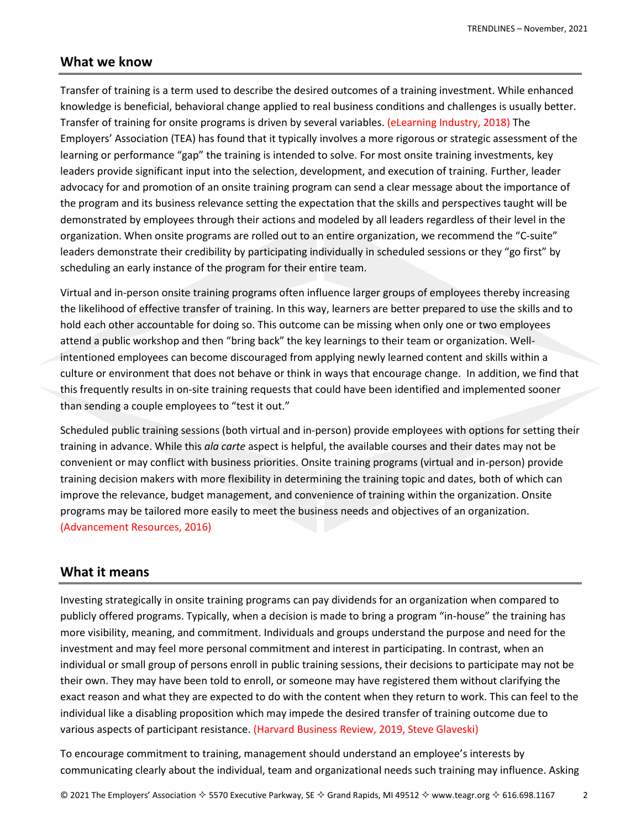#### **What we know**

Transfer of training is a term used to describe the desired outcomes of a training investment. While enhanced knowledge is beneficial, behavioral change applied to real business conditions and challenges is usually better. Transfer of training for onsite programs is driven by several variables. (eLearning Industry, 2018) The Employers' Association (TEA) has found that it typically involves a more rigorous or strategic assessment of the learning or performance "gap" the training is intended to solve. For most onsite training investments, key leaders provide significant input into the selection, development, and execution of training. Further, leader advocacy for and promotion of an onsite training program can send a clear message about the importance of the program and its business relevance setting the expectation that the skills and perspectives taught will be demonstrated by employees through their actions and modeled by all leaders regardless of their level in the organization. When onsite programs are rolled out to an entire organization, we recommend the "C-suite" leaders demonstrate their credibility by participating individually in scheduled sessions or they "go first" by scheduling an early instance of the program for their entire team.

Virtual and in-person onsite training programs often influence larger groups of employees thereby increasing the likelihood of effective transfer of training. In this way, learners are better prepared to use the skills and to hold each other accountable for doing so. This outcome can be missing when only one or two employees attend a public workshop and then "bring back" the key learnings to their team or organization. Wellintentioned employees can become discouraged from applying newly learned content and skills within a culture or environment that does not behave or think in ways that encourage change. In addition, we find that this frequently results in on-site training requests that could have been identified and implemented sooner than sending a couple employees to "test it out."

Scheduled public training sessions (both virtual and in-person) provide employees with options for setting their training in advance. While this *ala carte* aspect is helpful, the available courses and their dates may not be convenient or may conflict with business priorities. Onsite training programs (virtual and in-person) provide training decision makers with more flexibility in determining the training topic and dates, both of which can improve the relevance, budget management, and convenience of training within the organization. Onsite programs may be tailored more easily to meet the business needs and objectives of an organization. (Advancement Resources, 2016)

## **What it means**

Investing strategically in onsite training programs can pay dividends for an organization when compared to publicly offered programs. Typically, when a decision is made to bring a program "in-house" the training has more visibility, meaning, and commitment. Individuals and groups understand the purpose and need for the investment and may feel more personal commitment and interest in participating. In contrast, when an individual or small group of persons enroll in public training sessions, their decisions to participate may not be their own. They may have been told to enroll, or someone may have registered them without clarifying the exact reason and what they are expected to do with the content when they return to work. This can feel to the individual like a disabling proposition which may impede the desired transfer of training outcome due to various aspects of participant resistance. (Harvard Business Review, 2019, Steve Glaveski)

To encourage commitment to training, management should understand an employee's interests by communicating clearly about the individual, team and organizational needs such training may influence. Asking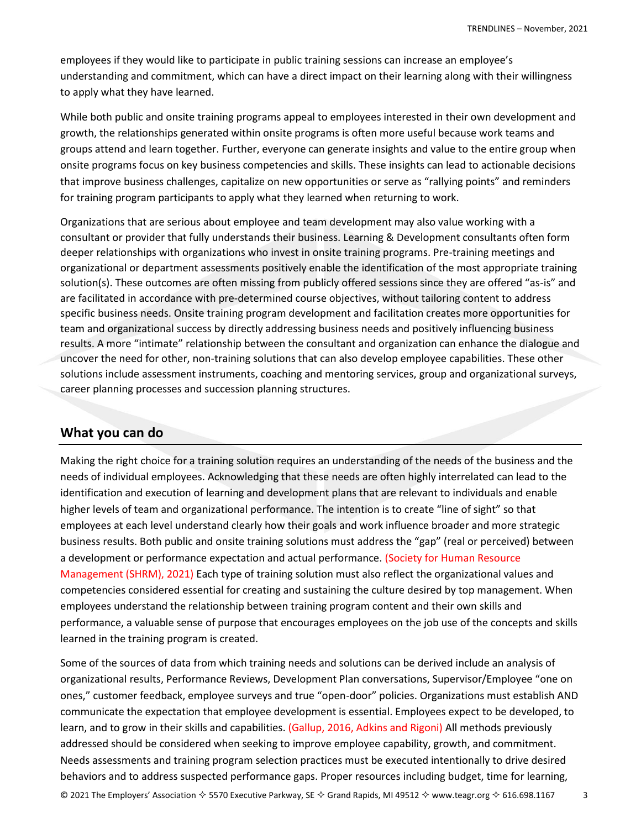employees if they would like to participate in public training sessions can increase an employee's understanding and commitment, which can have a direct impact on their learning along with their willingness to apply what they have learned.

While both public and onsite training programs appeal to employees interested in their own development and growth, the relationships generated within onsite programs is often more useful because work teams and groups attend and learn together. Further, everyone can generate insights and value to the entire group when onsite programs focus on key business competencies and skills. These insights can lead to actionable decisions that improve business challenges, capitalize on new opportunities or serve as "rallying points" and reminders for training program participants to apply what they learned when returning to work.

Organizations that are serious about employee and team development may also value working with a consultant or provider that fully understands their business. Learning & Development consultants often form deeper relationships with organizations who invest in onsite training programs. Pre-training meetings and organizational or department assessments positively enable the identification of the most appropriate training solution(s). These outcomes are often missing from publicly offered sessions since they are offered "as-is" and are facilitated in accordance with pre-determined course objectives, without tailoring content to address specific business needs. Onsite training program development and facilitation creates more opportunities for team and organizational success by directly addressing business needs and positively influencing business results. A more "intimate" relationship between the consultant and organization can enhance the dialogue and uncover the need for other, non-training solutions that can also develop employee capabilities. These other solutions include assessment instruments, coaching and mentoring services, group and organizational surveys, career planning processes and succession planning structures.

## **What you can do**

Making the right choice for a training solution requires an understanding of the needs of the business and the needs of individual employees. Acknowledging that these needs are often highly interrelated can lead to the identification and execution of learning and development plans that are relevant to individuals and enable higher levels of team and organizational performance. The intention is to create "line of sight" so that employees at each level understand clearly how their goals and work influence broader and more strategic business results. Both public and onsite training solutions must address the "gap" (real or perceived) between a development or performance expectation and actual performance. (Society for Human Resource Management (SHRM), 2021) Each type of training solution must also reflect the organizational values and competencies considered essential for creating and sustaining the culture desired by top management. When employees understand the relationship between training program content and their own skills and performance, a valuable sense of purpose that encourages employees on the job use of the concepts and skills learned in the training program is created.

© 2021 The Employers' Association  $\diamond$  5570 Executive Parkway, SE  $\diamond$  Grand Rapids, MI 49512  $\diamond$  www.teagr.org  $\diamond$  616.698.1167 3 Some of the sources of data from which training needs and solutions can be derived include an analysis of organizational results, Performance Reviews, Development Plan conversations, Supervisor/Employee "one on ones," customer feedback, employee surveys and true "open-door" policies. Organizations must establish AND communicate the expectation that employee development is essential. Employees expect to be developed, to learn, and to grow in their skills and capabilities. (Gallup, 2016, Adkins and Rigoni) All methods previously addressed should be considered when seeking to improve employee capability, growth, and commitment. Needs assessments and training program selection practices must be executed intentionally to drive desired behaviors and to address suspected performance gaps. Proper resources including budget, time for learning,